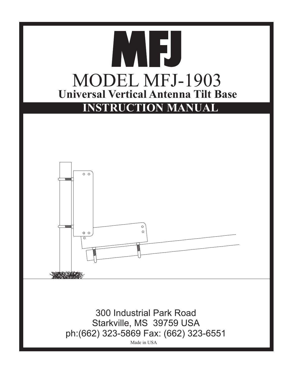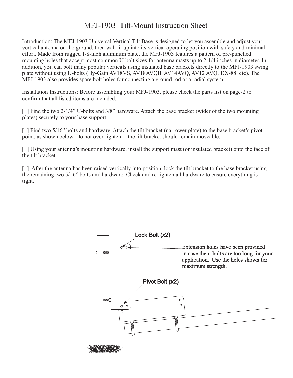## MFJ-1903 Tilt-Mount Instruction Sheet

Introduction: The MFJ-1903 Universal Vertical Tilt Base is designed to let you assemble and adjust your vertical antenna on the ground, then walk it up into its vertical operating position with safety and minimal effort. Made from rugged 1/8-inch aluminum plate, the MFJ-1903 features a pattern of pre-punched mounting holes that accept most common U-bolt sizes for antenna masts up to 2-1/4 inches in diameter. In addition, you can bolt many popular verticals using insulated base brackets directly to the MFJ-1903 swing plate without using U-bolts (Hy-Gain AV18VS, AV18AVQII, AV14AVQ, AV12 AVQ, DX-88, etc). The MFJ-1903 also provides spare bolt holes for connecting a ground rod or a radial system.

Installation Instructions: Before assembling your MFJ-1903, please check the parts list on page-2 to confirm that all listed items are included.

[ ] Find the two 2-1/4" U-bolts and 3/8" hardware. Attach the base bracket (wider of the two mounting plates) securely to your base support.

[ ] Find two 5/16" bolts and hardware. Attach the tilt bracket (narrower plate) to the base bracket's pivot point, as shown below. Do not over-tighten -- the tilt bracket should remain moveable.

[ ] Using your antenna's mounting hardware, install the support mast (or insulated bracket) onto the face of the tilt bracket.

[ ] After the antenna has been raised vertically into position, lock the tilt bracket to the base bracket using the remaining two 5/16" bolts and hardware. Check and re-tighten all hardware to ensure everything is tight.

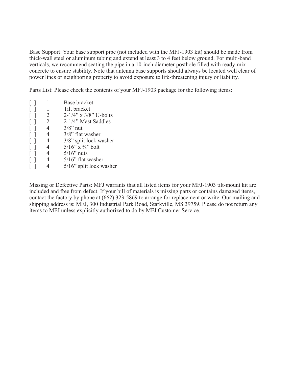Base Support: Your base support pipe (not included with the MFJ-1903 kit) should be made from thick-wall steel or aluminum tubing and extend at least 3 to 4 feet below ground. For multi-band verticals, we recommend seating the pipe in a 10-inch diameter posthole filled with ready-mix concrete to ensure stability. Note that antenna base supports should always be located well clear of power lines or neighboring property to avoid exposure to life-threatening injury or liability.

Parts List: Please check the contents of your MFJ-1903 package for the following items:

| $[ \ ]$           |                | Base bracket                    |
|-------------------|----------------|---------------------------------|
| $\lceil$ 1        | -1             | Tilt bracket                    |
| $\lceil$ $\rceil$ | 2              | $2-1/4$ " x $3/8$ " U-bolts     |
| $\lceil$ 1        | 2              | 2-1/4" Mast Saddles             |
| $\lceil$ $\rceil$ | $\overline{4}$ | $3/8$ " nut                     |
| $\lceil$ 1        | 4              | 3/8" flat washer                |
| $\lceil$ $\rceil$ | 4              | 3/8" split lock washer          |
| $\lceil$ $\rceil$ | 4              | $5/16$ " x $\frac{3}{4}$ " bolt |
| $\Box$            | 4              | $5/16$ " nuts                   |
| $\lceil$ 1        | 4              | $5/16$ " flat washer            |
|                   |                | $5/16$ " split lock washer      |

Missing or Defective Parts: MFJ warrants that all listed items for your MFJ-1903 tilt-mount kit are included and free from defect. If your bill of materials is missing parts or contains damaged items, contact the factory by phone at (662) 323-5869 to arrange for replacement or write. Our mailing and shipping address is: MFJ, 300 Industrial Park Road, Starkville, MS 39759. Please do not return any items to MFJ unless explicitly authorized to do by MFJ Customer Service.